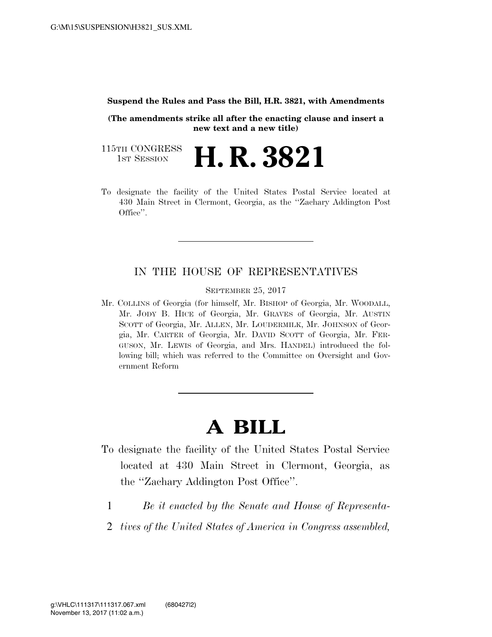## **Suspend the Rules and Pass the Bill, H.R. 3821, with Amendments**

**(The amendments strike all after the enacting clause and insert a new text and a new title)** 

115TH CONGRESS<br>1st Session 1ST SESSION **H. R. 3821** 

To designate the facility of the United States Postal Service located at 430 Main Street in Clermont, Georgia, as the ''Zachary Addington Post Office''.

## IN THE HOUSE OF REPRESENTATIVES

SEPTEMBER 25, 2017

Mr. COLLINS of Georgia (for himself, Mr. BISHOP of Georgia, Mr. WOODALL, Mr. JODY B. HICE of Georgia, Mr. GRAVES of Georgia, Mr. AUSTIN SCOTT of Georgia, Mr. ALLEN, Mr. LOUDERMILK, Mr. JOHNSON of Georgia, Mr. CARTER of Georgia, Mr. DAVID SCOTT of Georgia, Mr. FER-GUSON, Mr. LEWIS of Georgia, and Mrs. HANDEL) introduced the following bill; which was referred to the Committee on Oversight and Government Reform

## **A BILL**

- To designate the facility of the United States Postal Service located at 430 Main Street in Clermont, Georgia, as the ''Zachary Addington Post Office''.
	- 1 *Be it enacted by the Senate and House of Representa-*
	- 2 *tives of the United States of America in Congress assembled,*